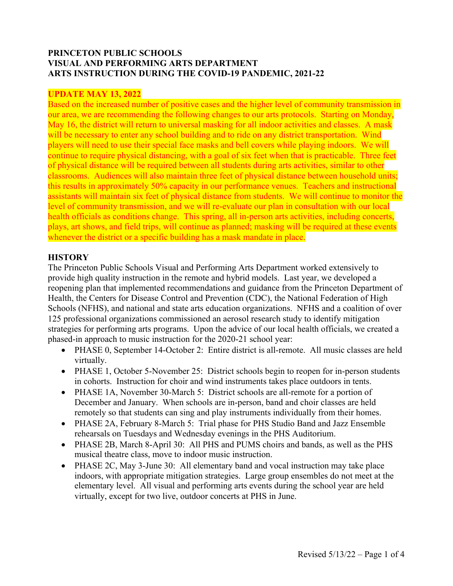### **PRINCETON PUBLIC SCHOOLS VISUAL AND PERFORMING ARTS DEPARTMENT ARTS INSTRUCTION DURING THE COVID-19 PANDEMIC, 2021-22**

### **UPDATE MAY 13, 2022**

Based on the increased number of positive cases and the higher level of community transmission in our area, we are recommending the following changes to our arts protocols. Starting on Monday, May 16, the district will return to universal masking for all indoor activities and classes. A mask will be necessary to enter any school building and to ride on any district transportation. Wind players will need to use their special face masks and bell covers while playing indoors. We will continue to require physical distancing, with a goal of six feet when that is practicable. Three feet of physical distance will be required between all students during arts activities, similar to other classrooms. Audiences will also maintain three feet of physical distance between household units; this results in approximately 50% capacity in our performance venues. Teachers and instructional assistants will maintain six feet of physical distance from students. We will continue to monitor the level of community transmission, and we will re-evaluate our plan in consultation with our local health officials as conditions change. This spring, all in-person arts activities, including concerts, plays, art shows, and field trips, will continue as planned; masking will be required at these events whenever the district or a specific building has a mask mandate in place.

#### **HISTORY**

The Princeton Public Schools Visual and Performing Arts Department worked extensively to provide high quality instruction in the remote and hybrid models. Last year, we developed a reopening plan that implemented recommendations and guidance from the Princeton Department of Health, the Centers for Disease Control and Prevention (CDC), the National Federation of High Schools (NFHS), and national and state arts education organizations. NFHS and a coalition of over 125 professional organizations commissioned an aerosol research study to identify mitigation strategies for performing arts programs. Upon the advice of our local health officials, we created a phased-in approach to music instruction for the 2020-21 school year:

- PHASE 0, September 14-October 2: Entire district is all-remote. All music classes are held virtually.
- PHASE 1, October 5-November 25: District schools begin to reopen for in-person students in cohorts. Instruction for choir and wind instruments takes place outdoors in tents.
- PHASE 1A, November 30-March 5: District schools are all-remote for a portion of December and January. When schools are in-person, band and choir classes are held remotely so that students can sing and play instruments individually from their homes.
- PHASE 2A, February 8-March 5: Trial phase for PHS Studio Band and Jazz Ensemble rehearsals on Tuesdays and Wednesday evenings in the PHS Auditorium.
- PHASE 2B, March 8-April 30: All PHS and PUMS choirs and bands, as well as the PHS musical theatre class, move to indoor music instruction.
- PHASE 2C, May 3-June 30: All elementary band and vocal instruction may take place indoors, with appropriate mitigation strategies. Large group ensembles do not meet at the elementary level. All visual and performing arts events during the school year are held virtually, except for two live, outdoor concerts at PHS in June.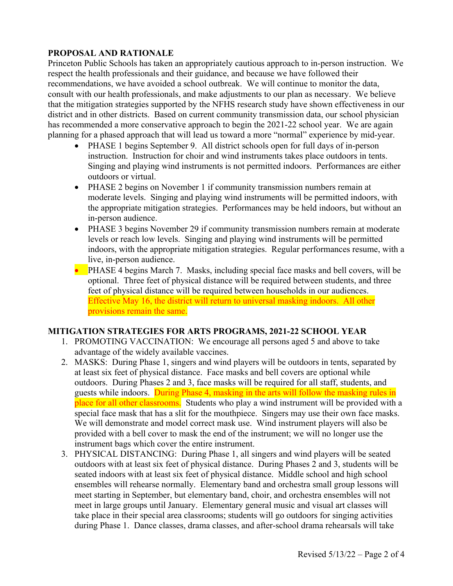### **PROPOSAL AND RATIONALE**

Princeton Public Schools has taken an appropriately cautious approach to in-person instruction. We respect the health professionals and their guidance, and because we have followed their recommendations, we have avoided a school outbreak. We will continue to monitor the data, consult with our health professionals, and make adjustments to our plan as necessary. We believe that the mitigation strategies supported by the NFHS research study have shown effectiveness in our district and in other districts. Based on current community transmission data, our school physician has recommended a more conservative approach to begin the 2021-22 school year. We are again planning for a phased approach that will lead us toward a more "normal" experience by mid-year.

- PHASE 1 begins September 9. All district schools open for full days of in-person instruction. Instruction for choir and wind instruments takes place outdoors in tents. Singing and playing wind instruments is not permitted indoors. Performances are either outdoors or virtual.
- PHASE 2 begins on November 1 if community transmission numbers remain at moderate levels. Singing and playing wind instruments will be permitted indoors, with the appropriate mitigation strategies. Performances may be held indoors, but without an in-person audience.
- PHASE 3 begins November 29 if community transmission numbers remain at moderate levels or reach low levels. Singing and playing wind instruments will be permitted indoors, with the appropriate mitigation strategies. Regular performances resume, with a live, in-person audience.
- PHASE 4 begins March 7. Masks, including special face masks and bell covers, will be optional. Three feet of physical distance will be required between students, and three feet of physical distance will be required between households in our audiences. Effective May 16, the district will return to universal masking indoors. All other provisions remain the same.

### **MITIGATION STRATEGIES FOR ARTS PROGRAMS, 2021-22 SCHOOL YEAR**

- 1. PROMOTING VACCINATION: We encourage all persons aged 5 and above to take advantage of the widely available vaccines.
- 2. MASKS: During Phase 1, singers and wind players will be outdoors in tents, separated by at least six feet of physical distance. Face masks and bell covers are optional while outdoors. During Phases 2 and 3, face masks will be required for all staff, students, and guests while indoors. During Phase 4, masking in the arts will follow the masking rules in place for all other classrooms. Students who play a wind instrument will be provided with a special face mask that has a slit for the mouthpiece. Singers may use their own face masks. We will demonstrate and model correct mask use. Wind instrument players will also be provided with a bell cover to mask the end of the instrument; we will no longer use the instrument bags which cover the entire instrument.
- 3. PHYSICAL DISTANCING: During Phase 1, all singers and wind players will be seated outdoors with at least six feet of physical distance. During Phases 2 and 3, students will be seated indoors with at least six feet of physical distance. Middle school and high school ensembles will rehearse normally. Elementary band and orchestra small group lessons will meet starting in September, but elementary band, choir, and orchestra ensembles will not meet in large groups until January. Elementary general music and visual art classes will take place in their special area classrooms; students will go outdoors for singing activities during Phase 1. Dance classes, drama classes, and after-school drama rehearsals will take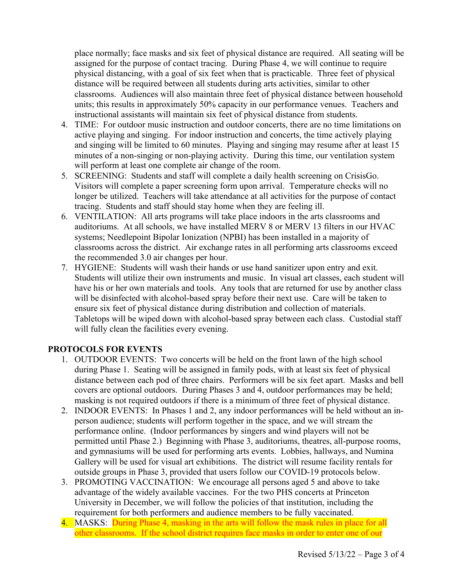place normally; face masks and six feet of physical distance are required. All seating will be assigned for the purpose of contact tracing. During Phase 4, we will continue to require physical distancing, with a goal of six feet when that is practicable. Three feet of physical distance will be required between all students during arts activities, similar to other classrooms. Audiences will also maintain three feet of physical distance between household units; this results in approximately 50% capacity in our performance venues. Teachers and instructional assistants will maintain six feet of physical distance from students.

- 4. TIME: For outdoor music instruction and outdoor concerts, there are no time limitations on active playing and singing. For indoor instruction and concerts, the time actively playing and singing will be limited to 60 minutes. Playing and singing may resume after at least 15 minutes of a non-singing or non-playing activity. During this time, our ventilation system will perform at least one complete air change of the room.
- 5. SCREENING: Students and staff will complete a daily health screening on CrisisGo. Visitors will complete a paper screening form upon arrival. Temperature checks will no longer be utilized. Teachers will take attendance at all activities for the purpose of contact tracing. Students and staff should stay home when they are feeling ill.
- 6. VENTILATION: All arts programs will take place indoors in the arts classrooms and auditoriums. At all schools, we have installed MERV 8 or MERV 13 filters in our HVAC systems; Needlepoint Bipolar Ionization (NPBI) has been installed in a majority of classrooms across the district. Air exchange rates in all performing arts classrooms exceed the recommended 3.0 air changes per hour.
- 7. HYGIENE: Students will wash their hands or use hand sanitizer upon entry and exit. Students will utilize their own instruments and music. In visual art classes, each student will have his or her own materials and tools. Any tools that are returned for use by another class will be disinfected with alcohol-based spray before their next use. Care will be taken to ensure six feet of physical distance during distribution and collection of materials. Tabletops will be wiped down with alcohol-based spray between each class. Custodial staff will fully clean the facilities every evening.

## **PROTOCOLS FOR EVENTS**

- 1. OUTDOOR EVENTS: Two concerts will be held on the front lawn of the high school during Phase 1. Seating will be assigned in family pods, with at least six feet of physical distance between each pod of three chairs. Performers will be six feet apart. Masks and bell covers are optional outdoors. During Phases 3 and 4, outdoor performances may be held; masking is not required outdoors if there is a minimum of three feet of physical distance.
- 2. INDOOR EVENTS: In Phases 1 and 2, any indoor performances will be held without an inperson audience; students will perform together in the space, and we will stream the performance online. (Indoor performances by singers and wind players will not be permitted until Phase 2.) Beginning with Phase 3, auditoriums, theatres, all-purpose rooms, and gymnasiums will be used for performing arts events. Lobbies, hallways, and Numina Gallery will be used for visual art exhibitions. The district will resume facility rentals for outside groups in Phase 3, provided that users follow our COVID-19 protocols below.
- 3. PROMOTING VACCINATION: We encourage all persons aged 5 and above to take advantage of the widely available vaccines. For the two PHS concerts at Princeton University in December, we will follow the policies of that institution, including the requirement for both performers and audience members to be fully vaccinated.
- 4. MASKS: During Phase 4, masking in the arts will follow the mask rules in place for all other classrooms. If the school district requires face masks in order to enter one of our